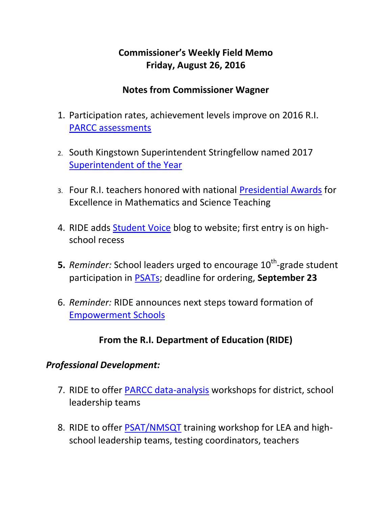## **Commissioner's Weekly Field Memo Friday, August 26, 2016**

#### **Notes from Commissioner Wagner**

- 1. Participation rates, achievement levels improve on 2016 R.I. [PARCC assessments](#page-3-0)
- 2. South Kingstown Superintendent Stringfellow named 2017 [Superintendent of the Year](#page-5-0)
- 3. Four R.I. teachers honored with national [Presidential Awards](#page-5-0) for Excellence in Mathematics and Science Teaching
- 4. RIDE adds [Student Voice](#page-5-1) blog to website; first entry is on highschool recess
- **5.** Reminder: School leaders urged to encourage 10<sup>th</sup>-grade student participation in [PSATs;](#page-5-1) deadline for ordering, **September 23**
- 6. *Reminder:* RIDE announces next steps toward formation of [Empowerment Schools](#page-9-0)

## **From the R.I. Department of Education (RIDE)**

### *Professional Development:*

- 7. RIDE to offer [PARCC data-analysis](#page-1-0) workshops for district, school leadership teams
- 8. RIDE to offer [PSAT/NMSQT](#page-1-0) training workshop for LEA and highschool leadership teams, testing coordinators, teachers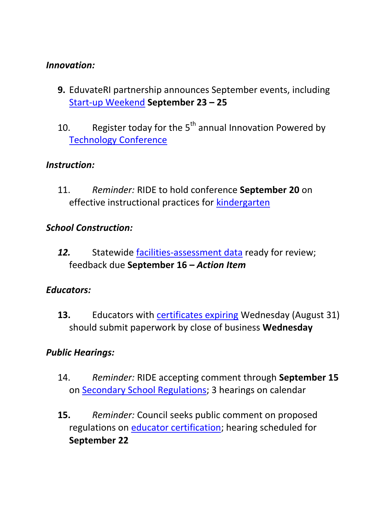#### *Innovation:*

- **9.** EduvateRI partnership announces September events, including [Start-up Weekend](#page-13-0) **September 23 – 25**
- 10. Register today for the  $5<sup>th</sup>$  annual Innovation Powered by [Technology Conference](#page-14-0)

### *Instruction:*

11. *Reminder:* RIDE to hold conference **September 20** on effective instructional practices for [kindergarten](#page-15-0)

### *School Construction:*

*12.* Statewide [facilities-assessment data](#page-16-0) ready for review; feedback due **September 16 –** *Action Item*

### *Educators:*

**13.** Educators with [certificates expiring](#page-17-0) Wednesday (August 31) should submit paperwork by close of business **Wednesday** 

### <span id="page-1-0"></span>*Public Hearings:*

- 14. *Reminder:* RIDE accepting comment through **September 15**  on [Secondary School Regulations;](#page-17-1) 3 hearings on calendar
- **15.** *Reminder:* Council seeks public comment on proposed regulations on [educator certification;](#page-17-0) hearing scheduled for **September 22**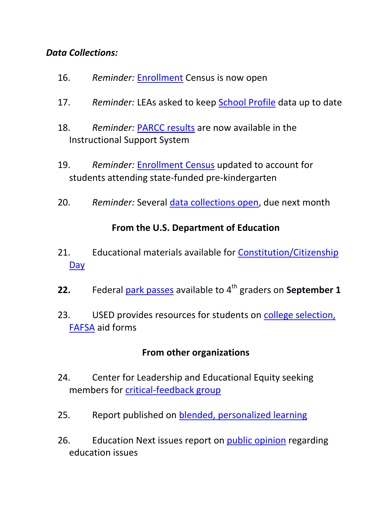#### *Data Collections:*

- 16. *Reminder:* [Enrollment](#page-20-0) Census is now open
- 17. *Reminder:* LEAs asked to keep [School Profile](#page-20-0) data up to date
- 18. *Reminder:* [PARCC results](#page-20-0) are now available in the Instructional Support System
- 19. *Reminder:* [Enrollment Census](#page-20-0) updated to account for students attending state-funded pre-kindergarten
- 20. *Reminder:* Several [data collections open,](#page-20-0) due next month

### **From the U.S. Department of Education**

- 21. Educational materials available for [Constitution/Citizenship](#page-22-0)  [Day](#page-22-0)
- **22.** Federal [park passes](#page-23-0) available to 4<sup>th</sup> graders on **September 1**
- 23. USED provides resources for students on college selection, [FAFSA](#page-23-1) aid forms

### **From other organizations**

- 24. Center for Leadership and Educational Equity seeking members for [critical-feedback group](#page-23-2)
- 25. Report published on [blended, personalized learning](#page-24-0)
- 26. Education Next issues report on [public opinion](#page-24-1) regarding education issues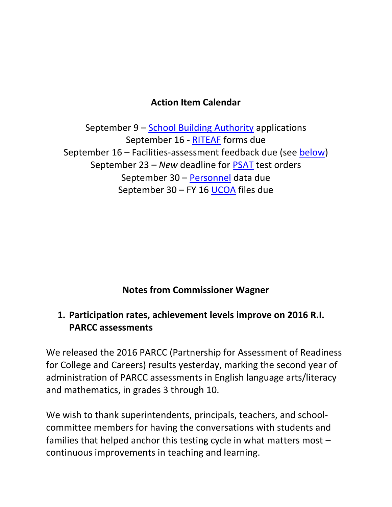### **Action Item Calendar**

September 9 – [School Building Authority](http://ride.ri.gov/Portals/0/Uploads/Documents/FieldMemos/072916-FM.pdf) applications September 16 - [RITEAF](http://www.ride.ri.gov/Portals/0/Uploads/Documents/FieldMemos/081216-FM.pdf) forms due September 16 – Facilities-assessment feedback due (see [below\)](#page-16-0) September 23 – *New* deadline for [PSAT](http://www.ride.ri.gov/Portals/0/Uploads/Documents/FieldMemos/081216-FM.pdf) test orders September 30 – [Personnel](http://ride.ri.gov/Portals/0/Uploads/Documents/FieldMemos/080516-FM.pdf) data due September 30 – FY 16 [UCOA](http://www.ride.ri.gov/Portals/0/Uploads/Documents/FieldMemos/081916-FM.pdf) files due

### **Notes from Commissioner Wagner**

### <span id="page-3-0"></span>**1. Participation rates, achievement levels improve on 2016 R.I. PARCC assessments**

We released the 2016 PARCC (Partnership for Assessment of Readiness for College and Careers) results yesterday, marking the second year of administration of PARCC assessments in English language arts/literacy and mathematics, in grades 3 through 10.

We wish to thank superintendents, principals, teachers, and schoolcommittee members for having the conversations with students and families that helped anchor this testing cycle in what matters most – continuous improvements in teaching and learning.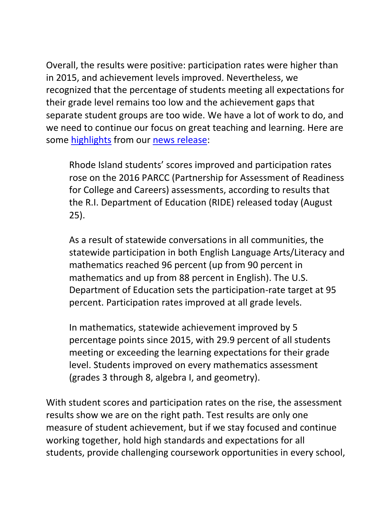Overall, the results were positive: participation rates were higher than in 2015, and achievement levels improved. Nevertheless, we recognized that the percentage of students meeting all expectations for their grade level remains too low and the achievement gaps that separate student groups are too wide. We have a lot of work to do, and we need to continue our focus on great teaching and learning. Here are some [highlights](http://www.ride.ri.gov/InstructionAssessment/Assessment/AssessmentResults.aspx) from our [news release:](http://www.ride.ri.gov/InsideRIDE/AdditionalInformation/News/ViewArticle/tabid/408/ArticleId/347/R-I-PARCC-achievement-levels-rise-participation-rate-increases.aspx)

Rhode Island students' scores improved and participation rates rose on the 2016 PARCC (Partnership for Assessment of Readiness for College and Careers) assessments, according to results that the R.I. Department of Education (RIDE) released today (August 25).

As a result of statewide conversations in all communities, the statewide participation in both English Language Arts/Literacy and mathematics reached 96 percent (up from 90 percent in mathematics and up from 88 percent in English). The U.S. Department of Education sets the participation-rate target at 95 percent. Participation rates improved at all grade levels.

In mathematics, statewide achievement improved by 5 percentage points since 2015, with 29.9 percent of all students meeting or exceeding the learning expectations for their grade level. Students improved on every mathematics assessment (grades 3 through 8, algebra I, and geometry).

With student scores and participation rates on the rise, the assessment results show we are on the right path. Test results are only one measure of student achievement, but if we stay focused and continue working together, hold high standards and expectations for all students, provide challenging coursework opportunities in every school,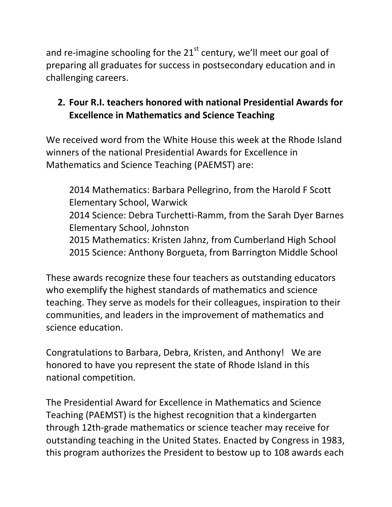and re-imagine schooling for the  $21<sup>st</sup>$  century, we'll meet our goal of preparing all graduates for success in postsecondary education and in challenging careers.

## <span id="page-5-1"></span><span id="page-5-0"></span>**2. Four R.I. teachers honored with national Presidential Awards for Excellence in Mathematics and Science Teaching**

We received word from the White House this week at the Rhode Island winners of the national Presidential Awards for Excellence in Mathematics and Science Teaching (PAEMST) are:

2014 Mathematics: Barbara Pellegrino, from the Harold F Scott Elementary School, Warwick 2014 Science: Debra Turchetti-Ramm, from the Sarah Dyer Barnes Elementary School, Johnston 2015 Mathematics: Kristen Jahnz, from Cumberland High School 2015 Science: Anthony Borgueta, from Barrington Middle School

These awards recognize these four teachers as outstanding educators who exemplify the highest standards of mathematics and science teaching. They serve as models for their colleagues, inspiration to their communities, and leaders in the improvement of mathematics and science education.

Congratulations to Barbara, Debra, Kristen, and Anthony! We are honored to have you represent the state of Rhode Island in this national competition.

The Presidential Award for Excellence in Mathematics and Science Teaching (PAEMST) is the highest recognition that a kindergarten through 12th-grade mathematics or science teacher may receive for outstanding teaching in the United States. Enacted by Congress in 1983, this program authorizes the President to bestow up to 108 awards each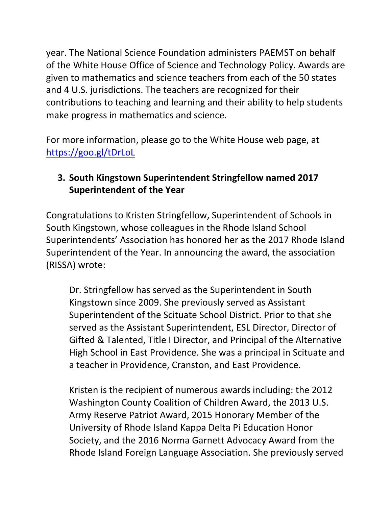year. The National Science Foundation administers PAEMST on behalf of the White House Office of Science and Technology Policy. Awards are given to mathematics and science teachers from each of the 50 states and 4 U.S. jurisdictions. The teachers are recognized for their contributions to teaching and learning and their ability to help students make progress in mathematics and science.

For more information, please go to the White House web page, at <https://goo.gl/tDrLoL>

### **3. South Kingstown Superintendent Stringfellow named 2017 Superintendent of the Year**

Congratulations to Kristen Stringfellow, Superintendent of Schools in South Kingstown, whose colleagues in the Rhode Island School Superintendents' Association has honored her as the 2017 Rhode Island Superintendent of the Year. In announcing the award, the association (RISSA) wrote:

Dr. Stringfellow has served as the Superintendent in South Kingstown since 2009. She previously served as Assistant Superintendent of the Scituate School District. Prior to that she served as the Assistant Superintendent, ESL Director, Director of Gifted & Talented, Title I Director, and Principal of the Alternative High School in East Providence. She was a principal in Scituate and a teacher in Providence, Cranston, and East Providence.

Kristen is the recipient of numerous awards including: the 2012 Washington County Coalition of Children Award, the 2013 U.S. Army Reserve Patriot Award, 2015 Honorary Member of the University of Rhode Island Kappa Delta Pi Education Honor Society, and the 2016 Norma Garnett Advocacy Award from the Rhode Island Foreign Language Association. She previously served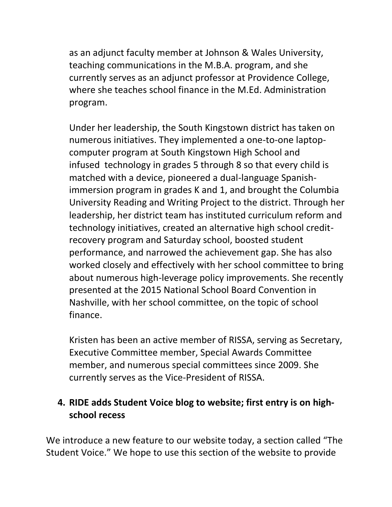as an adjunct faculty member at Johnson & Wales University, teaching communications in the M.B.A. program, and she currently serves as an adjunct professor at Providence College, where she teaches school finance in the M.Ed. Administration program.

Under her leadership, the South Kingstown district has taken on numerous initiatives. They implemented a one-to-one laptopcomputer program at South Kingstown High School and infused technology in grades 5 through 8 so that every child is matched with a device, pioneered a dual-language Spanishimmersion program in grades K and 1, and brought the Columbia University Reading and Writing Project to the district. Through her leadership, her district team has instituted curriculum reform and technology initiatives, created an alternative high school creditrecovery program and Saturday school, boosted student performance, and narrowed the achievement gap. She has also worked closely and effectively with her school committee to bring about numerous high-leverage policy improvements. She recently presented at the 2015 National School Board Convention in Nashville, with her school committee, on the topic of school finance.

Kristen has been an active member of RISSA, serving as Secretary, Executive Committee member, Special Awards Committee member, and numerous special committees since 2009. She currently serves as the Vice-President of RISSA.

## **4. RIDE adds Student Voice blog to website; first entry is on highschool recess**

We introduce a new feature to our website today, a section called "The Student Voice." We hope to use this section of the website to provide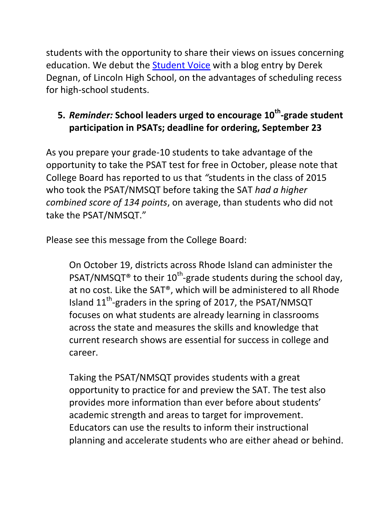students with the opportunity to share their views on issues concerning education. We debut the [Student Voice](http://www.ride.ri.gov/StudentsFamilies/AdditionalResources/StudentVoice.aspx) with a blog entry by Derek Degnan, of Lincoln High School, on the advantages of scheduling recess for high-school students.

## **5.** *Reminder:* **School leaders urged to encourage 10th -grade student participation in PSATs; deadline for ordering, September 23**

As you prepare your grade-10 students to take advantage of the opportunity to take the PSAT test for free in October, please note that College Board has reported to us that *"*students in the class of 2015 who took the PSAT/NMSQT before taking the SAT *had a higher combined score of 134 points*, on average, than students who did not take the PSAT/NMSQT."

Please see this message from the College Board:

On October 19, districts across Rhode Island can administer the PSAT/NMSQT<sup>®</sup> to their 10<sup>th</sup>-grade students during the school day, at no cost. Like the SAT®, which will be administered to all Rhode Island  $11^{th}$ -graders in the spring of 2017, the PSAT/NMSQT focuses on what students are already learning in classrooms across the state and measures the skills and knowledge that current research shows are essential for success in college and career.

Taking the PSAT/NMSQT provides students with a great opportunity to practice for and preview the SAT. The test also provides more information than ever before about students' academic strength and areas to target for improvement. Educators can use the results to inform their instructional planning and accelerate students who are either ahead or behind.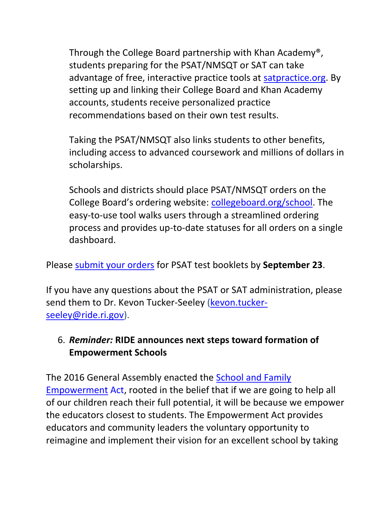Through the College Board partnership with Khan Academy®, students preparing for the PSAT/NMSQT or SAT can take advantage of free, interactive practice tools at [satpractice.org.](https://www.khanacademy.org/sat) By setting up and linking their College Board and Khan Academy accounts, students receive personalized practice recommendations based on their own test results.

Taking the PSAT/NMSQT also links students to other benefits, including access to advanced coursework and millions of dollars in scholarships.

Schools and districts should place PSAT/NMSQT orders on the College Board's ordering website: [collegeboard.org/school.](http://www.collegeboard.com/school/) The easy-to-use tool walks users through a streamlined ordering process and provides up-to-date statuses for all orders on a single dashboard.

Please [submit your orders](http://www.collegeboard.com/school/) for PSAT test booklets by **September 23**.

If you have any questions about the PSAT or SAT administration, please send them to Dr. Kevon Tucker-Seeley [\(kevon.tucker](mailto:kevon.tucker-seeley@ride.ri.gov)[seeley@ride.ri.gov\)](mailto:kevon.tucker-seeley@ride.ri.gov).

### <span id="page-9-0"></span>6. *Reminder:* **RIDE announces next steps toward formation of Empowerment Schools**

The 2016 General Assembly enacted the [School and Family](http://www.ride.ri.gov/Portals/0/Uploads/Documents/Inside-RIDE/Empowerment/Article_11-EmpowermentActText.pdf)  [Empowerment](http://www.ride.ri.gov/Portals/0/Uploads/Documents/Inside-RIDE/Empowerment/Article_11-EmpowermentActText.pdf) Act, rooted in the belief that if we are going to help all of our children reach their full potential, it will be because we empower the educators closest to students. The Empowerment Act provides educators and community leaders the voluntary opportunity to reimagine and implement their vision for an excellent school by taking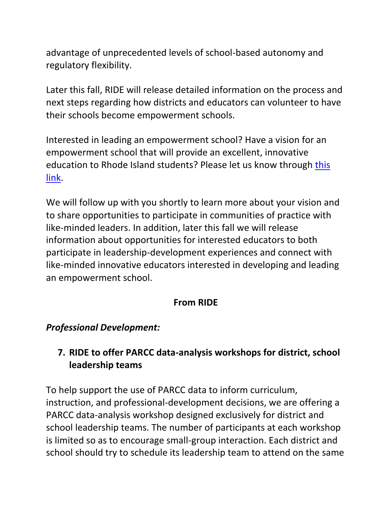advantage of unprecedented levels of school-based autonomy and regulatory flexibility.

Later this fall, RIDE will release detailed information on the process and next steps regarding how districts and educators can volunteer to have their schools become empowerment schools.

Interested in leading an empowerment school? Have a vision for an empowerment school that will provide an excellent, innovative education to Rhode Island students? Please let us know through [this](https://docs.google.com/forms/d/e/1FAIpQLSeemUKAb59dW-E96GwVkaLhFw1K0HbQ_M0owN1F9ycglKSdVw/viewform)  [link.](https://docs.google.com/forms/d/e/1FAIpQLSeemUKAb59dW-E96GwVkaLhFw1K0HbQ_M0owN1F9ycglKSdVw/viewform)

We will follow up with you shortly to learn more about your vision and to share opportunities to participate in communities of practice with like-minded leaders. In addition, later this fall we will release information about opportunities for interested educators to both participate in leadership-development experiences and connect with like-minded innovative educators interested in developing and leading an empowerment school.

### **From RIDE**

### *Professional Development:*

## **7. RIDE to offer PARCC data-analysis workshops for district, school leadership teams**

To help support the use of PARCC data to inform curriculum, instruction, and professional-development decisions, we are offering a PARCC data-analysis workshop designed exclusively for district and school leadership teams. The number of participants at each workshop is limited so as to encourage small-group interaction. Each district and school should try to schedule its leadership team to attend on the same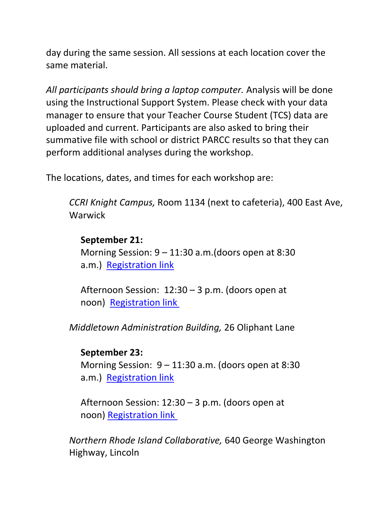day during the same session. All sessions at each location cover the same material.

*All participants should bring a laptop computer.* Analysis will be done using the Instructional Support System. Please check with your data manager to ensure that your Teacher Course Student (TCS) data are uploaded and current. Participants are also asked to bring their summative file with school or district PARCC results so that they can perform additional analyses during the workshop.

The locations, dates, and times for each workshop are:

*CCRI Knight Campus,* Room 1134 (next to cafeteria), 400 East Ave, **Warwick** 

#### **September 21:**

Morning Session: 9 – 11:30 a.m.(doors open at 8:30 a.m.) [Registration link](http://www.eride.ri.gov/workshopreg/ViewWorkshop.aspx?workshopid=1508)

Afternoon Session: 12:30 – 3 p.m. (doors open at noon) [Registration link](http://www.eride.ri.gov/workshopreg/ViewWorkshop.aspx?workshopid=1509)

*Middletown Administration Building,* 26 Oliphant Lane

#### **September 23:**

Morning Session:  $9 - 11:30$  a.m. (doors open at 8:30 a.m.) [Registration link](http://www.eride.ri.gov/workshopreg/ViewWorkshop.aspx?workshopid=1510)

Afternoon Session: 12:30 – 3 p.m. (doors open at noon) [Registration link](http://www.eride.ri.gov/workshopreg/ViewWorkshop.aspx?workshopid=1511)

*Northern Rhode Island Collaborative,* 640 George Washington Highway, Lincoln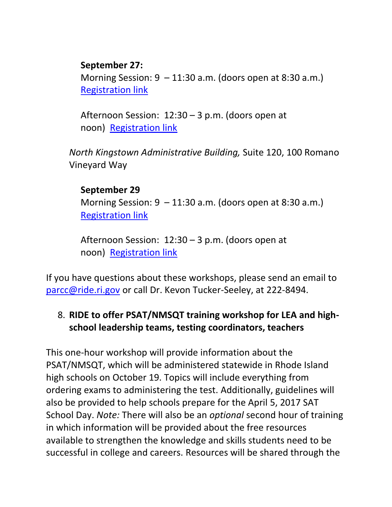### **September 27:**

Morning Session:  $9 - 11:30$  a.m. (doors open at 8:30 a.m.) [Registration link](http://www.eride.ri.gov/workshopreg/ViewWorkshop.aspx?workshopid=1512)

Afternoon Session: 12:30 – 3 p.m. (doors open at noon) [Registration link](http://www.eride.ri.gov/workshopreg/ViewWorkshop.aspx?workshopid=1513)

*North Kingstown Administrative Building,* Suite 120, 100 Romano Vineyard Way

#### **September 29**

Morning Session:  $9 - 11:30$  a.m. (doors open at 8:30 a.m.) [Registration link](http://www.eride.ri.gov/workshopreg/ViewWorkshop.aspx?workshopid=1514)

Afternoon Session: 12:30 – 3 p.m. (doors open at noon) [Registration link](http://www.eride.ri.gov/workshopreg/ViewWorkshop.aspx?workshopid=1515)

If you have questions about these workshops, please send an email to [parcc@ride.ri.gov](mailto:parcc@ride.ri.gov) or call Dr. Kevon Tucker-Seeley, at 222-8494.

### 8. **RIDE to offer PSAT/NMSQT training workshop for LEA and highschool leadership teams, testing coordinators, teachers**

This one-hour workshop will provide information about the PSAT/NMSQT, which will be administered statewide in Rhode Island high schools on October 19. Topics will include everything from ordering exams to administering the test. Additionally, guidelines will also be provided to help schools prepare for the April 5, 2017 SAT School Day. *Note:* There will also be an *optional* second hour of training in which information will be provided about the free resources available to strengthen the knowledge and skills students need to be successful in college and careers. Resources will be shared through the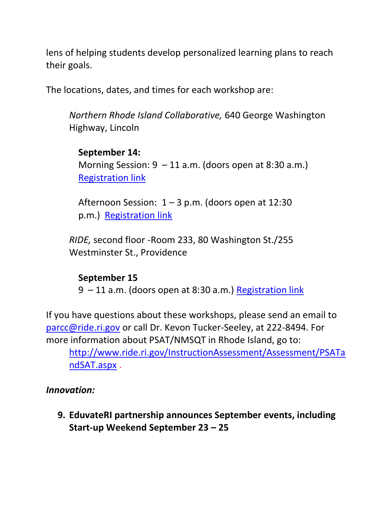lens of helping students develop personalized learning plans to reach their goals.

The locations, dates, and times for each workshop are:

*Northern Rhode Island Collaborative,* 640 George Washington Highway, Lincoln

#### **September 14:**

Morning Session:  $9 - 11$  a.m. (doors open at 8:30 a.m.) [Registration link](http://www.eride.ri.gov/workshopreg/ViewWorkshop.aspx?workshopid=1505)

Afternoon Session:  $1 - 3$  p.m. (doors open at 12:30 p.m.) [Registration link](http://www.eride.ri.gov/workshopreg/ViewWorkshop.aspx?workshopid=1506)

*RIDE,* second floor -Room 233, 80 Washington St./255 Westminster St., Providence

#### **September 15**

9 – 11 a.m. (doors open at 8:30 a.m.) [Registration link](http://www.eride.ri.gov/workshopreg/ViewWorkshop.aspx?workshopid=1507)

If you have questions about these workshops, please send an email to [parcc@ride.ri.gov](mailto:parcc@ride.ri.gov) or call Dr. Kevon Tucker-Seeley, at 222-8494. For more information about PSAT/NMSQT in Rhode Island, go to:

[http://www.ride.ri.gov/InstructionAssessment/Assessment/PSATa](http://www.ride.ri.gov/InstructionAssessment/Assessment/PSATandSAT.aspx) [ndSAT.aspx](http://www.ride.ri.gov/InstructionAssessment/Assessment/PSATandSAT.aspx) .

#### *Innovation:*

<span id="page-13-0"></span>**9. EduvateRI partnership announces September events, including Start-up Weekend September 23 – 25**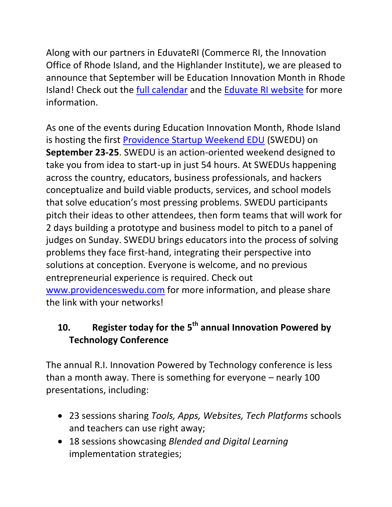Along with our partners in EduvateRI (Commerce RI, the Innovation Office of Rhode Island, and the Highlander Institute), we are pleased to announce that September will be Education Innovation Month in Rhode Island! Check out the [full calendar](https://drive.google.com/file/d/0B9tvHpqi54bbamdvYUR6d282eVdqVFloWVJkbW95UnNoTmc0/view?usp=sharing) and the [Eduvate RI website](http://eduvateri.org/) for more information.

As one of the events during Education Innovation Month, Rhode Island is hosting the first [Providence Startup Weekend EDU](https://drive.google.com/file/d/0B9tvHpqi54bbTmlSUFRMa1VyT0U/view?usp=sharing) (SWEDU) on **September 23-25**. SWEDU is an action-oriented weekend designed to take you from idea to start-up in just 54 hours. At SWEDUs happening across the country, educators, business professionals, and hackers conceptualize and build viable products, services, and school models that solve education's most pressing problems. SWEDU participants pitch their ideas to other attendees, then form teams that will work for 2 days building a prototype and business model to pitch to a panel of judges on Sunday. SWEDU brings educators into the process of solving problems they face first-hand, integrating their perspective into solutions at conception. Everyone is welcome, and no previous entrepreneurial experience is required. Check out [www.providenceswedu.com](http://www.providenceswedu.com/) for more information, and please share the link with your networks!

# <span id="page-14-0"></span>**10. Register today for the 5th annual Innovation Powered by Technology Conference**

The annual R.I. Innovation Powered by Technology conference is less than a month away. There is something for everyone – nearly 100 presentations, including:

- 23 sessions sharing *Tools, Apps, Websites, Tech Platforms* schools and teachers can use right away;
- 18 sessions showcasing *Blended and Digital Learning* implementation strategies;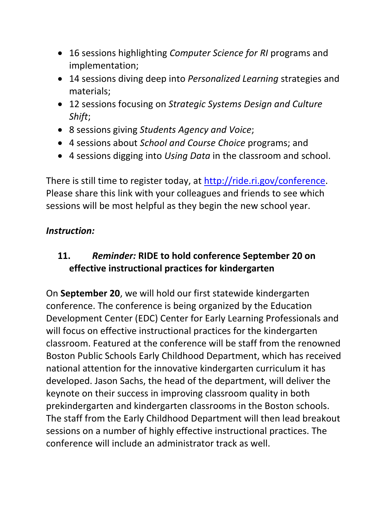- 16 sessions highlighting *Computer Science for RI* programs and implementation;
- 14 sessions diving deep into *Personalized Learning* strategies and materials;
- 12 sessions focusing on *Strategic Systems Design and Culture Shift*;
- 8 sessions giving *Students Agency and Voice*;
- 4 sessions about *School and Course Choice* programs; and
- 4 sessions digging into *Using Data* in the classroom and school.

There is still time to register today, at [http://ride.ri.gov/conference.](http://ride.ri.gov/conference) Please share this link with your colleagues and friends to see which sessions will be most helpful as they begin the new school year.

## *Instruction:*

## <span id="page-15-0"></span>**11.** *Reminder:* **RIDE to hold conference September 20 on effective instructional practices for kindergarten**

On **September 20**, we will hold our first statewide kindergarten conference. The conference is being organized by the Education Development Center (EDC) Center for Early Learning Professionals and will focus on effective instructional practices for the kindergarten classroom. Featured at the conference will be staff from the renowned Boston Public Schools Early Childhood Department, which has received national attention for the innovative kindergarten curriculum it has developed. Jason Sachs, the head of the department, will deliver the keynote on their success in improving classroom quality in both prekindergarten and kindergarten classrooms in the Boston schools. The staff from the Early Childhood Department will then lead breakout sessions on a number of highly effective instructional practices. The conference will include an administrator track as well.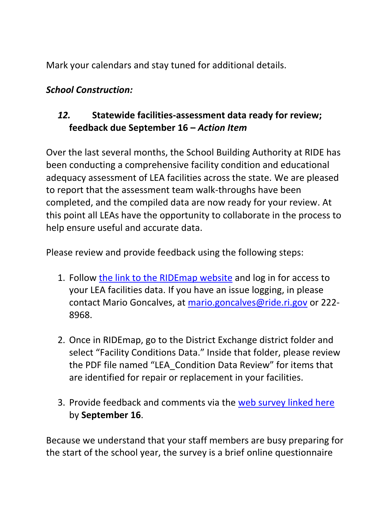Mark your calendars and stay tuned for additional details.

### *School Construction:*

## <span id="page-16-0"></span>*12.* **Statewide facilities-assessment data ready for review; feedback due September 16 –** *Action Item*

Over the last several months, the School Building Authority at RIDE has been conducting a comprehensive facility condition and educational adequacy assessment of LEA facilities across the state. We are pleased to report that the assessment team walk-throughs have been completed, and the compiled data are now ready for your review. At this point all LEAs have the opportunity to collaborate in the process to help ensure useful and accurate data.

Please review and provide feedback using the following steps:

- 1. Follow [the link to the RIDEmap website](https://ridemap.ride.ri.gov/) and log in for access to your LEA facilities data. If you have an issue logging, in please contact Mario Goncalves, at [mario.goncalves@ride.ri.gov](mailto:mario.goncalves@ride.ri.gov) or 222- 8968.
- 2. Once in RIDEmap, go to the District Exchange district folder and select "Facility Conditions Data." Inside that folder, please review the PDF file named "LEA\_Condition Data Review" for items that are identified for repair or replacement in your facilities.
- 3. Provide feedback and comments via the [web survey linked here](https://www.surveymonkey.com/r/RIDE_LEAs) by **September 16**.

Because we understand that your staff members are busy preparing for the start of the school year, the survey is a brief online questionnaire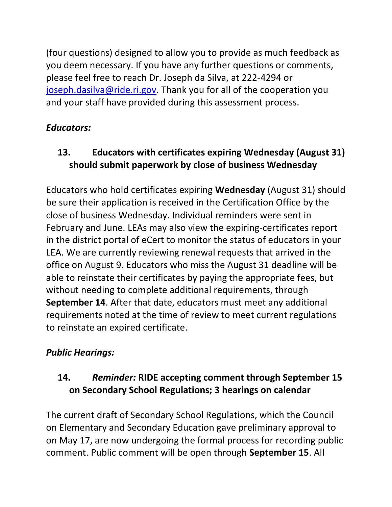(four questions) designed to allow you to provide as much feedback as you deem necessary. If you have any further questions or comments, please feel free to reach Dr. Joseph da Silva, at 222-4294 or [joseph.dasilva@ride.ri.gov.](mailto:joseph.dasilva@ride.ri.gov) Thank you for all of the cooperation you and your staff have provided during this assessment process.

## *Educators:*

# <span id="page-17-0"></span>**13. Educators with certificates expiring Wednesday (August 31) should submit paperwork by close of business Wednesday**

Educators who hold certificates expiring **Wednesday** (August 31) should be sure their application is received in the Certification Office by the close of business Wednesday. Individual reminders were sent in February and June. LEAs may also view the expiring-certificates report in the district portal of eCert to monitor the status of educators in your LEA. We are currently reviewing renewal requests that arrived in the office on August 9. Educators who miss the August 31 deadline will be able to reinstate their certificates by paying the appropriate fees, but without needing to complete additional requirements, through **September 14**. After that date, educators must meet any additional requirements noted at the time of review to meet current regulations to reinstate an expired certificate.

# *Public Hearings:*

# <span id="page-17-1"></span>**14.** *Reminder:* **RIDE accepting comment through September 15 on Secondary School Regulations; 3 hearings on calendar**

The current draft of Secondary School Regulations, which the Council on Elementary and Secondary Education gave preliminary approval to on May 17, are now undergoing the formal process for recording public comment. Public comment will be open through **September 15**. All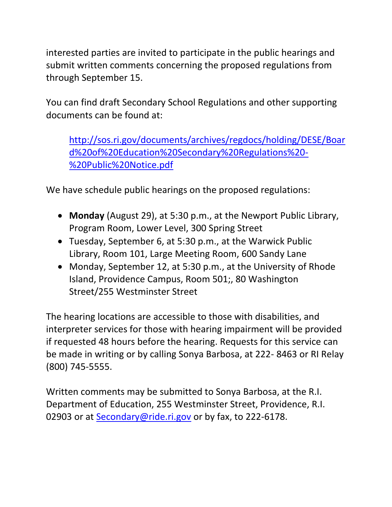interested parties are invited to participate in the public hearings and submit written comments concerning the proposed regulations from through September 15.

You can find draft Secondary School Regulations and other supporting documents can be found at:

[http://sos.ri.gov/documents/archives/regdocs/holding/DESE/Boar](http://sos.ri.gov/documents/archives/regdocs/holding/DESE/Board%20of%20Education%20Secondary%20Regulations%20-%20Public%20Notice.pdf) [d%20of%20Education%20Secondary%20Regulations%20-](http://sos.ri.gov/documents/archives/regdocs/holding/DESE/Board%20of%20Education%20Secondary%20Regulations%20-%20Public%20Notice.pdf) [%20Public%20Notice.pdf](http://sos.ri.gov/documents/archives/regdocs/holding/DESE/Board%20of%20Education%20Secondary%20Regulations%20-%20Public%20Notice.pdf)

We have schedule public hearings on the proposed regulations:

- **Monday** (August 29), at 5:30 p.m., at the Newport Public Library, Program Room, Lower Level, 300 Spring Street
- Tuesday, September 6, at 5:30 p.m., at the Warwick Public Library, Room 101, Large Meeting Room, 600 Sandy Lane
- Monday, September 12, at 5:30 p.m., at the University of Rhode Island, Providence Campus, Room 501;, 80 Washington Street/255 Westminster Street

The hearing locations are accessible to those with disabilities, and interpreter services for those with hearing impairment will be provided if requested 48 hours before the hearing. Requests for this service can be made in writing or by calling Sonya Barbosa, at 222- 8463 or RI Relay (800) 745-5555.

Written comments may be submitted to Sonya Barbosa, at the R.I. Department of Education, 255 Westminster Street, Providence, R.I. 02903 or at [Secondary@ride.ri.gov](mailto:Secondary@ride.ri.gov) or by fax, to 222-6178.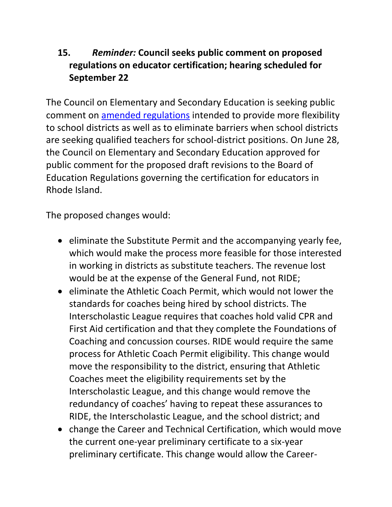## **15.** *Reminder:* **Council seeks public comment on proposed regulations on educator certification; hearing scheduled for September 22**

The Council on Elementary and Secondary Education is seeking public comment on [amended regulations](http://ride.ri.gov/Portals/0/Uploads/Documents/CESE/Certification_Regulations_Proposed_Amendments_2016.pdf) intended to provide more flexibility to school districts as well as to eliminate barriers when school districts are seeking qualified teachers for school-district positions. On June 28, the Council on Elementary and Secondary Education approved for public comment for the proposed draft revisions to the Board of Education Regulations governing the certification for educators in Rhode Island.

The proposed changes would:

- eliminate the Substitute Permit and the accompanying yearly fee, which would make the process more feasible for those interested in working in districts as substitute teachers. The revenue lost would be at the expense of the General Fund, not RIDE;
- eliminate the Athletic Coach Permit, which would not lower the standards for coaches being hired by school districts. The Interscholastic League requires that coaches hold valid CPR and First Aid certification and that they complete the Foundations of Coaching and concussion courses. RIDE would require the same process for Athletic Coach Permit eligibility. This change would move the responsibility to the district, ensuring that Athletic Coaches meet the eligibility requirements set by the Interscholastic League, and this change would remove the redundancy of coaches' having to repeat these assurances to RIDE, the Interscholastic League, and the school district; and
- change the Career and Technical Certification, which would move the current one-year preliminary certificate to a six-year preliminary certificate. This change would allow the Career-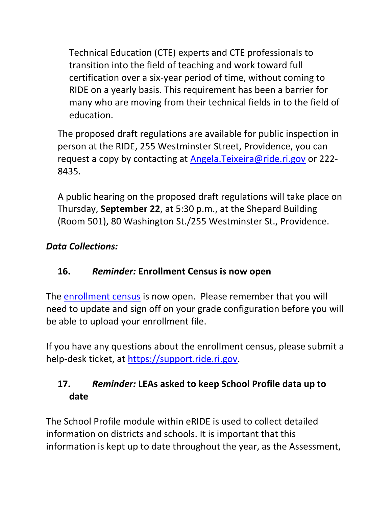Technical Education (CTE) experts and CTE professionals to transition into the field of teaching and work toward full certification over a six-year period of time, without coming to RIDE on a yearly basis. This requirement has been a barrier for many who are moving from their technical fields in to the field of education.

The proposed draft regulations are available for public inspection in person at the RIDE, 255 Westminster Street, Providence, you can request a copy by contacting at [Angela.Teixeira@ride.ri.gov](mailto:Angela.Teixeira@ride.ri.gov) or 222- 8435.

A public hearing on the proposed draft regulations will take place on Thursday, **September 22**, at 5:30 p.m., at the Shepard Building (Room 501), 80 Washington St./255 Westminster St., Providence.

## <span id="page-20-0"></span>*Data Collections:*

## **16.** *Reminder:* **Enrollment Census is now open**

The **enrollment census** is now open. Please remember that you will need to update and sign off on your grade configuration before you will be able to upload your enrollment file.

If you have any questions about the enrollment census, please submit a help-desk ticket, at [https://support.ride.ri.gov.](https://support.ride.ri.gov/)

## **17.** *Reminder:* **LEAs asked to keep School Profile data up to date**

The School Profile module within eRIDE is used to collect detailed information on districts and schools. It is important that this information is kept up to date throughout the year, as the Assessment,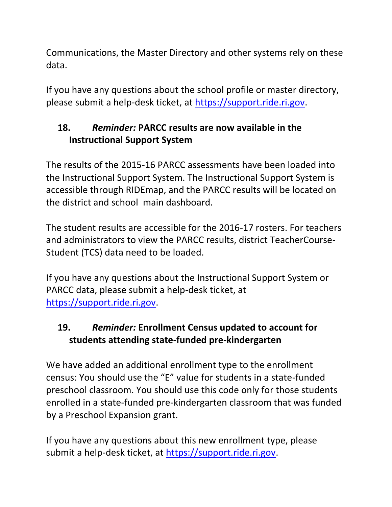Communications, the Master Directory and other systems rely on these data.

If you have any questions about the school profile or master directory, please submit a help-desk ticket, at [https://support.ride.ri.gov.](https://support.ride.ri.gov/)

## **18.** *Reminder:* **PARCC results are now available in the Instructional Support System**

The results of the 2015-16 PARCC assessments have been loaded into the Instructional Support System. The Instructional Support System is accessible through RIDEmap, and the PARCC results will be located on the district and school main dashboard.

The student results are accessible for the 2016-17 rosters. For teachers and administrators to view the PARCC results, district TeacherCourse-Student (TCS) data need to be loaded.

If you have any questions about the Instructional Support System or PARCC data, please submit a help-desk ticket, at [https://support.ride.ri.gov.](https://support.ride.ri.gov/)

# **19.** *Reminder:* **Enrollment Census updated to account for students attending state-funded pre-kindergarten**

We have added an additional enrollment type to the enrollment census: You should use the "E" value for students in a state-funded preschool classroom. You should use this code only for those students enrolled in a state-funded pre-kindergarten classroom that was funded by a Preschool Expansion grant.

If you have any questions about this new enrollment type, please submit a help-desk ticket, at [https://support.ride.ri.gov.](https://support.ride.ri.gov/)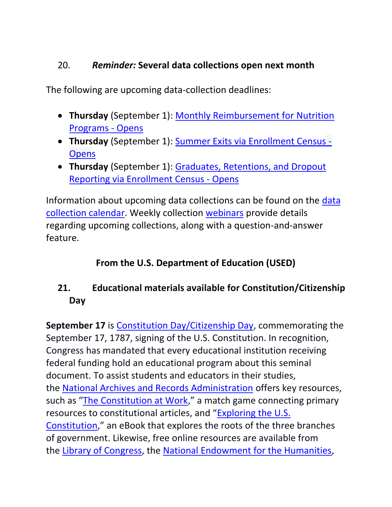### 20. *Reminder:* **Several data collections open next month**

The following are upcoming data-collection deadlines:

- **Thursday** (September 1): [Monthly Reimbursement for Nutrition](https://www.eride.ri.gov/eRide40/DataDictionary/ViewDetails.aspx?ID=348)  [Programs -](https://www.eride.ri.gov/eRide40/DataDictionary/ViewDetails.aspx?ID=348) Opens
- **Thursday** (September 1): [Summer Exits via Enrollment Census](https://www.eride.ri.gov/eRide40/DataDictionary/ViewDetails.aspx?ID=351) **[Opens](https://www.eride.ri.gov/eRide40/DataDictionary/ViewDetails.aspx?ID=351)**
- **Thursday** (September 1): [Graduates, Retentions, and Dropout](https://www.eride.ri.gov/eRide40/DataDictionary/ViewDetails.aspx?ID=355)  [Reporting via Enrollment Census -](https://www.eride.ri.gov/eRide40/DataDictionary/ViewDetails.aspx?ID=355) Opens

Information about upcoming data collections can be found on the [data](https://www.eride.ri.gov/eRide40/DataDictionary/Calendar.aspx)  [collection calendar.](https://www.eride.ri.gov/eRide40/DataDictionary/Calendar.aspx) Weekly collection [webinars](https://attendee.gotowebinar.com/register/1244693710129866241) provide details regarding upcoming collections, along with a question-and-answer feature.

# **From the U.S. Department of Education (USED)**

# <span id="page-22-0"></span>**21. Educational materials available for Constitution/Citizenship Day**

**September 17** is [Constitution Day/Citizenship Day,](http://links.govdelivery.com/track?type=click&enid=ZWFzPTEmbWFpbGluZ2lkPTIwMTYwODI2LjYzMDE4MTQxJm1lc3NhZ2VpZD1NREItUFJELUJVTC0yMDE2MDgyNi42MzAxODE0MSZkYXRhYmFzZWlkPTEwMDEmc2VyaWFsPTE3NzU0NjE3JmVtYWlsaWQ9ZWxsaW90LmtyaWVnZXJAcmlkZS5yaS5nb3YmdXNlcmlkPWVsbGlvdC5rcmllZ2VyQHJpZGUucmkuZ292JmZsPSZleHRyYT1NdWx0aXZhcmlhdGVJZD0mJiY=&&&131&&&http://www2.ed.gov/policy/fund/guid/constitutionday.html?utm_content=&utm_medium=email&utm_name=&utm_source=govdelivery&utm_term=) commemorating the September 17, 1787, signing of the U.S. Constitution. In recognition, Congress has mandated that every educational institution receiving federal funding hold an educational program about this seminal document. To assist students and educators in their studies, the [National Archives and Records Administration](http://links.govdelivery.com/track?type=click&enid=ZWFzPTEmbWFpbGluZ2lkPTIwMTYwODI2LjYzMDE4MTQxJm1lc3NhZ2VpZD1NREItUFJELUJVTC0yMDE2MDgyNi42MzAxODE0MSZkYXRhYmFzZWlkPTEwMDEmc2VyaWFsPTE3NzU0NjE3JmVtYWlsaWQ9ZWxsaW90LmtyaWVnZXJAcmlkZS5yaS5nb3YmdXNlcmlkPWVsbGlvdC5rcmllZ2VyQHJpZGUucmkuZ292JmZsPSZleHRyYT1NdWx0aXZhcmlhdGVJZD0mJiY=&&&132&&&http://www.archives.gov/education/lessons/constitution-day/?utm_content=&utm_medium=email&utm_name=&utm_source=govdelivery&utm_term=) offers key resources, such as "[The Constitution at Work](http://links.govdelivery.com/track?type=click&enid=ZWFzPTEmbWFpbGluZ2lkPTIwMTYwODI2LjYzMDE4MTQxJm1lc3NhZ2VpZD1NREItUFJELUJVTC0yMDE2MDgyNi42MzAxODE0MSZkYXRhYmFzZWlkPTEwMDEmc2VyaWFsPTE3NzU0NjE3JmVtYWlsaWQ9ZWxsaW90LmtyaWVnZXJAcmlkZS5yaS5nb3YmdXNlcmlkPWVsbGlvdC5rcmllZ2VyQHJpZGUucmkuZ292JmZsPSZleHRyYT1NdWx0aXZhcmlhdGVJZD0mJiY=&&&133&&&https://www.docsteach.org/activities/student/the-constitution-at-work?utm_content=&utm_medium=email&utm_name=&utm_source=govdelivery&utm_term=)," a match game connecting primary resources to constitutional articles, and "[Exploring the U.S.](http://links.govdelivery.com/track?type=click&enid=ZWFzPTEmbWFpbGluZ2lkPTIwMTYwODI2LjYzMDE4MTQxJm1lc3NhZ2VpZD1NREItUFJELUJVTC0yMDE2MDgyNi42MzAxODE0MSZkYXRhYmFzZWlkPTEwMDEmc2VyaWFsPTE3NzU0NjE3JmVtYWlsaWQ9ZWxsaW90LmtyaWVnZXJAcmlkZS5yaS5nb3YmdXNlcmlkPWVsbGlvdC5rcmllZ2VyQHJpZGUucmkuZ292JmZsPSZleHRyYT1NdWx0aXZhcmlhdGVJZD0mJiY=&&&134&&&http://www.archives.gov/publications/ebooks/exploring-constitution.html?utm_content=&utm_medium=email&utm_name=&utm_source=govdelivery&utm_term=)  [Constitution](http://links.govdelivery.com/track?type=click&enid=ZWFzPTEmbWFpbGluZ2lkPTIwMTYwODI2LjYzMDE4MTQxJm1lc3NhZ2VpZD1NREItUFJELUJVTC0yMDE2MDgyNi42MzAxODE0MSZkYXRhYmFzZWlkPTEwMDEmc2VyaWFsPTE3NzU0NjE3JmVtYWlsaWQ9ZWxsaW90LmtyaWVnZXJAcmlkZS5yaS5nb3YmdXNlcmlkPWVsbGlvdC5rcmllZ2VyQHJpZGUucmkuZ292JmZsPSZleHRyYT1NdWx0aXZhcmlhdGVJZD0mJiY=&&&134&&&http://www.archives.gov/publications/ebooks/exploring-constitution.html?utm_content=&utm_medium=email&utm_name=&utm_source=govdelivery&utm_term=)," an eBook that explores the roots of the three branches of government. Likewise, free online resources are available from the [Library of Congress,](http://links.govdelivery.com/track?type=click&enid=ZWFzPTEmbWFpbGluZ2lkPTIwMTYwODI2LjYzMDE4MTQxJm1lc3NhZ2VpZD1NREItUFJELUJVTC0yMDE2MDgyNi42MzAxODE0MSZkYXRhYmFzZWlkPTEwMDEmc2VyaWFsPTE3NzU0NjE3JmVtYWlsaWQ9ZWxsaW90LmtyaWVnZXJAcmlkZS5yaS5nb3YmdXNlcmlkPWVsbGlvdC5rcmllZ2VyQHJpZGUucmkuZ292JmZsPSZleHRyYT1NdWx0aXZhcmlhdGVJZD0mJiY=&&&135&&&http://www.loc.gov/law/help/commemorative-observations/constitution-day.php?utm_content=&utm_medium=email&utm_name=&utm_source=govdelivery&utm_term=) the [National Endowment for the Humanities,](http://links.govdelivery.com/track?type=click&enid=ZWFzPTEmbWFpbGluZ2lkPTIwMTYwODI2LjYzMDE4MTQxJm1lc3NhZ2VpZD1NREItUFJELUJVTC0yMDE2MDgyNi42MzAxODE0MSZkYXRhYmFzZWlkPTEwMDEmc2VyaWFsPTE3NzU0NjE3JmVtYWlsaWQ9ZWxsaW90LmtyaWVnZXJAcmlkZS5yaS5nb3YmdXNlcmlkPWVsbGlvdC5rcmllZ2VyQHJpZGUucmkuZ292JmZsPSZleHRyYT1NdWx0aXZhcmlhdGVJZD0mJiY=&&&136&&&http://edsitement.neh.gov/constitution-day?utm_content=&utm_medium=email&utm_name=&utm_source=govdelivery&utm_term=)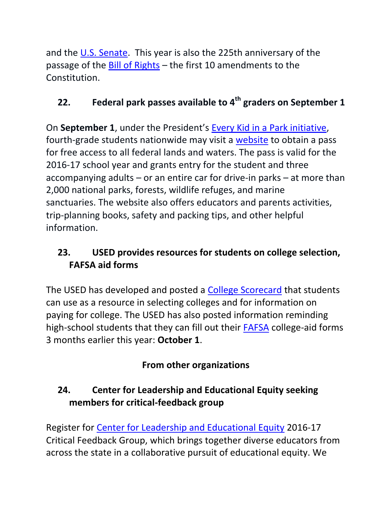and the [U.S. Senate.](http://links.govdelivery.com/track?type=click&enid=ZWFzPTEmbWFpbGluZ2lkPTIwMTYwODI2LjYzMDE4MTQxJm1lc3NhZ2VpZD1NREItUFJELUJVTC0yMDE2MDgyNi42MzAxODE0MSZkYXRhYmFzZWlkPTEwMDEmc2VyaWFsPTE3NzU0NjE3JmVtYWlsaWQ9ZWxsaW90LmtyaWVnZXJAcmlkZS5yaS5nb3YmdXNlcmlkPWVsbGlvdC5rcmllZ2VyQHJpZGUucmkuZ292JmZsPSZleHRyYT1NdWx0aXZhcmlhdGVJZD0mJiY=&&&137&&&http://www.senate.gov/artandhistory/history/common/generic/ConstitutionDay.htm?utm_content=&utm_medium=email&utm_name=&utm_source=govdelivery&utm_term=) This year is also the 225th anniversary of the passage of the [Bill of Rights](http://links.govdelivery.com/track?type=click&enid=ZWFzPTEmbWFpbGluZ2lkPTIwMTYwODI2LjYzMDE4MTQxJm1lc3NhZ2VpZD1NREItUFJELUJVTC0yMDE2MDgyNi42MzAxODE0MSZkYXRhYmFzZWlkPTEwMDEmc2VyaWFsPTE3NzU0NjE3JmVtYWlsaWQ9ZWxsaW90LmtyaWVnZXJAcmlkZS5yaS5nb3YmdXNlcmlkPWVsbGlvdC5rcmllZ2VyQHJpZGUucmkuZ292JmZsPSZleHRyYT1NdWx0aXZhcmlhdGVJZD0mJiY=&&&138&&&http://www.archives.gov/exhibits/charters/bill_of_rights.html?utm_content=&utm_medium=email&utm_name=&utm_source=govdelivery&utm_term=) – the first 10 amendments to the Constitution.

# <span id="page-23-0"></span>**22. Federal park passes available to 4th graders on September 1**

On **September 1**, under the President's [Every Kid in a Park initiative,](http://links.govdelivery.com/track?type=click&enid=ZWFzPTEmbWFpbGluZ2lkPTIwMTYwODI2LjYzMDE4MTQxJm1lc3NhZ2VpZD1NREItUFJELUJVTC0yMDE2MDgyNi42MzAxODE0MSZkYXRhYmFzZWlkPTEwMDEmc2VyaWFsPTE3NzU0NjE3JmVtYWlsaWQ9ZWxsaW90LmtyaWVnZXJAcmlkZS5yaS5nb3YmdXNlcmlkPWVsbGlvdC5rcmllZ2VyQHJpZGUucmkuZ292JmZsPSZleHRyYT1NdWx0aXZhcmlhdGVJZD0mJiY=&&&149&&&https://www.whitehouse.gov/the-press-office/2015/02/19/fact-sheet-launching-every-kid-park-initiative-and-designating-new-natio?utm_content=&utm_medium=email&utm_name=&utm_source=govdelivery&utm_term=) fourth-grade students nationwide may visit a [website](http://links.govdelivery.com/track?type=click&enid=ZWFzPTEmbWFpbGluZ2lkPTIwMTYwODI2LjYzMDE4MTQxJm1lc3NhZ2VpZD1NREItUFJELUJVTC0yMDE2MDgyNi42MzAxODE0MSZkYXRhYmFzZWlkPTEwMDEmc2VyaWFsPTE3NzU0NjE3JmVtYWlsaWQ9ZWxsaW90LmtyaWVnZXJAcmlkZS5yaS5nb3YmdXNlcmlkPWVsbGlvdC5rcmllZ2VyQHJpZGUucmkuZ292JmZsPSZleHRyYT1NdWx0aXZhcmlhdGVJZD0mJiY=&&&150&&&https://www.everykidinapark.gov/?utm_content=&utm_medium=email&utm_name=&utm_source=govdelivery&utm_term=) to obtain a pass for free access to all federal lands and waters. The pass is valid for the 2016-17 school year and grants entry for the student and three accompanying adults – or an entire car for drive-in parks – at more than 2,000 national parks, forests, wildlife refuges, and marine sanctuaries. The website also offers educators and parents activities, trip-planning books, safety and packing tips, and other helpful information.

# <span id="page-23-1"></span>**23. USED provides resources for students on college selection, FAFSA aid forms**

The USED has developed and posted a [College Scorecard](https://collegescorecard.ed.gov/) that students can use as a resource in selecting colleges and for information on paying for college. The USED has also posted information reminding high-school students that they can fill out their [FAFSA](https://studentaid.ed.gov/sa/about/announcements/fafsa-changes?utm_content=sf47229609&utm_source=twitter&utm_medium=spredfast&utm_campaign=Federal&sf47229609=1) college-aid forms 3 months earlier this year: **October 1**.

# **From other organizations**

# <span id="page-23-2"></span>**24. Center for Leadership and Educational Equity seeking members for critical-feedback group**

Register for [Center for Leadership and Educational Equity](http://clee-ri.org/) 2016-17 Critical Feedback Group, which brings together diverse educators from across the state in a collaborative pursuit of educational equity. We